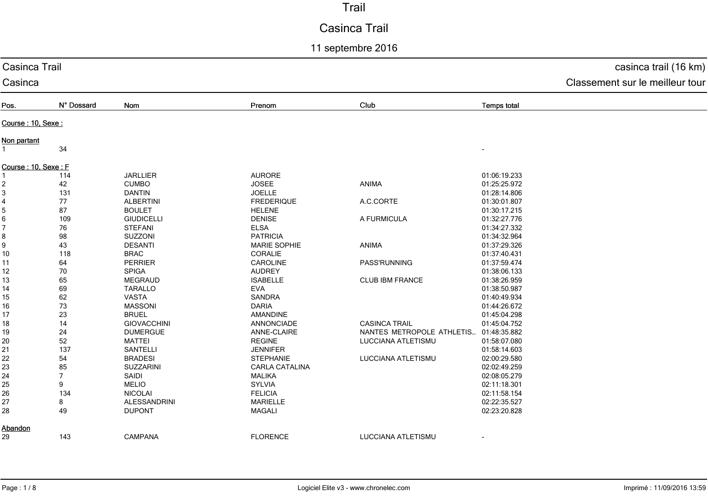# Casinca Trail

11 septembre 2016

| Casinca Trail       |                | casinca trail (16 km)           |                     |                           |                    |  |
|---------------------|----------------|---------------------------------|---------------------|---------------------------|--------------------|--|
| Casinca             |                | Classement sur le meilleur tour |                     |                           |                    |  |
| Pos.                | N° Dossard     | Nom                             | Prenom              | Club                      | <b>Temps total</b> |  |
| Course: 10, Sexe:   |                |                                 |                     |                           |                    |  |
|                     |                |                                 |                     |                           |                    |  |
| Non partant         |                |                                 |                     |                           |                    |  |
|                     | 34             |                                 |                     |                           |                    |  |
| Course: 10, Sexe: F |                |                                 |                     |                           |                    |  |
|                     | 114            | <b>JARLLIER</b>                 | <b>AURORE</b>       |                           | 01:06:19.233       |  |
| 2                   | 42             | <b>CUMBO</b>                    | <b>JOSEE</b>        | ANIMA                     | 01:25:25.972       |  |
| 3                   | 131            | <b>DANTIN</b>                   | <b>JOELLE</b>       |                           | 01:28:14.806       |  |
| 4                   | 77             | <b>ALBERTINI</b>                | <b>FREDERIQUE</b>   | A.C.CORTE                 | 01:30:01.807       |  |
| 5                   | 87             | <b>BOULET</b>                   | <b>HELENE</b>       |                           | 01:30:17.215       |  |
| $\,6$               | 109            | <b>GIUDICELLI</b>               | <b>DENISE</b>       | A FURMICULA               | 01:32:27.776       |  |
| 7                   | 76             | <b>STEFANI</b>                  | <b>ELSA</b>         |                           | 01:34:27.332       |  |
| 8                   | 98             | SUZZONI                         | <b>PATRICIA</b>     |                           | 01:34:32.964       |  |
| 9                   | 43             | <b>DESANTI</b>                  | <b>MARIE SOPHIE</b> | ANIMA                     | 01:37:29.326       |  |
| 10                  | 118            | <b>BRAC</b>                     | <b>CORALIE</b>      |                           | 01:37:40.431       |  |
| 11                  | 64             | PERRIER                         | CAROLINE            | PASS'RUNNING              | 01:37:59.474       |  |
| 12                  | 70             | <b>SPIGA</b>                    | <b>AUDREY</b>       |                           | 01:38:06.133       |  |
| 13                  | 65             | <b>MEGRAUD</b>                  | <b>ISABELLE</b>     | CLUB IBM FRANCE           | 01:38:26.959       |  |
| 14                  | 69             | <b>TARALLO</b>                  | EVA                 |                           | 01:38:50.987       |  |
| 15                  | 62             | <b>VASTA</b>                    | <b>SANDRA</b>       |                           | 01:40:49.934       |  |
| 16                  | 73             | <b>MASSONI</b>                  | <b>DARIA</b>        |                           | 01:44:26.672       |  |
| 17                  | 23             | <b>BRUEL</b>                    | AMANDINE            |                           | 01:45:04.298       |  |
|                     |                | <b>GIOVACCHINI</b>              | <b>ANNONCIADE</b>   | <b>CASINCA TRAIL</b>      | 01:45:04.752       |  |
| 18                  | 14             |                                 |                     |                           |                    |  |
| 19                  | 24             | <b>DUMERGUE</b>                 | ANNE-CLAIRE         | NANTES METROPOLE ATHLETIS | 01:48:35.882       |  |
| 20                  | 52             | <b>MATTEI</b>                   | <b>REGINE</b>       | LUCCIANA ATLETISMU        | 01:58:07.080       |  |
| 21                  | 137            | SANTELLI                        | <b>JENNIFER</b>     |                           | 01:58:14.603       |  |
| 22                  | 54             | <b>BRADESI</b>                  | <b>STEPHANIE</b>    | LUCCIANA ATLETISMU        | 02:00:29.580       |  |
| 23                  | 85             | SUZZARINI                       | CARLA CATALINA      |                           | 02:02:49.259       |  |
| 24                  | $\overline{7}$ | SAIDI                           | <b>MALIKA</b>       |                           | 02:08:05.279       |  |
| 25                  | 9              | <b>MELIO</b>                    | <b>SYLVIA</b>       |                           | 02:11:18.301       |  |
| 26                  | 134            | <b>NICOLAI</b>                  | <b>FELICIA</b>      |                           | 02:11:58.154       |  |
| 27                  | 8              | ALESSANDRINI                    | <b>MARIELLE</b>     |                           | 02:22:35.527       |  |
| 28                  | 49             | <b>DUPONT</b>                   | <b>MAGALI</b>       |                           | 02:23:20.828       |  |
| Abandon             |                |                                 |                     |                           |                    |  |
| 29                  | 143            | <b>CAMPANA</b>                  | <b>FLORENCE</b>     | LUCCIANA ATLETISMU        |                    |  |
|                     |                |                                 |                     |                           |                    |  |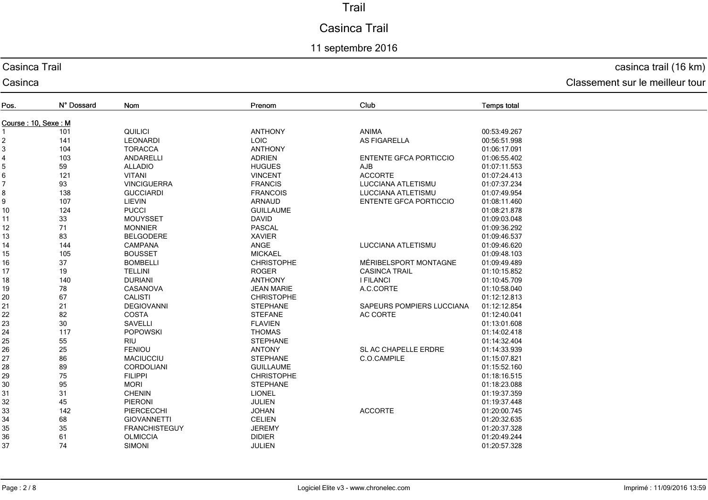# Casinca Trail

## 11 septembre 2016

#### Casinca Trail

Casinca

#### casinca trail (16 km)

| Pos.                | N° Dossard | Nom                  | Prenom            | Club                          | <b>Temps total</b> |  |  |
|---------------------|------------|----------------------|-------------------|-------------------------------|--------------------|--|--|
| Course: 10, Sexe: M |            |                      |                   |                               |                    |  |  |
|                     | 101        | QUILICI              | <b>ANTHONY</b>    | <b>ANIMA</b>                  | 00:53:49.267       |  |  |
| $\overline{2}$      | 141        | <b>LEONARDI</b>      | <b>LOIC</b>       | <b>AS FIGARELLA</b>           | 00:56:51.998       |  |  |
| 3                   | 104        | <b>TORACCA</b>       | <b>ANTHONY</b>    |                               | 01:06:17.091       |  |  |
| 4                   | 103        | ANDARELLI            | <b>ADRIEN</b>     | <b>ENTENTE GFCA PORTICCIO</b> | 01:06:55.402       |  |  |
| 5                   | 59         | <b>ALLADIO</b>       | <b>HUGUES</b>     | AJB                           | 01:07:11.553       |  |  |
| 6                   | 121        | <b>VITANI</b>        | <b>VINCENT</b>    | <b>ACCORTE</b>                | 01:07:24.413       |  |  |
|                     | 93         | <b>VINCIGUERRA</b>   | <b>FRANCIS</b>    | LUCCIANA ATLETISMU            | 01:07:37.234       |  |  |
| 8                   | 138        | <b>GUCCIARDI</b>     | <b>FRANCOIS</b>   | LUCCIANA ATLETISMU            | 01:07:49.954       |  |  |
| 9                   | 107        | LIEVIN               | ARNAUD            | <b>ENTENTE GFCA PORTICCIO</b> | 01:08:11.460       |  |  |
| 10                  | 124        | <b>PUCCI</b>         | <b>GUILLAUME</b>  |                               | 01:08:21.878       |  |  |
| 11                  | 33         | <b>MOUYSSET</b>      | <b>DAVID</b>      |                               | 01:09:03.048       |  |  |
| 12                  | 71         | <b>MONNIER</b>       | <b>PASCAL</b>     |                               | 01:09:36.292       |  |  |
| 13                  | 83         | <b>BELGODERE</b>     | <b>XAVIER</b>     |                               | 01:09:46.537       |  |  |
| 14                  | 144        | <b>CAMPANA</b>       | ANGE              | LUCCIANA ATLETISMU            | 01:09:46.620       |  |  |
| 15                  | 105        | <b>BOUSSET</b>       | <b>MICKAEL</b>    |                               | 01:09:48.103       |  |  |
| 16                  | 37         | <b>BOMBELLI</b>      | <b>CHRISTOPHE</b> | MÉRIBELSPORT MONTAGNE         | 01:09:49.489       |  |  |
| 17                  | 19         | <b>TELLINI</b>       | <b>ROGER</b>      | <b>CASINCA TRAIL</b>          | 01:10:15.852       |  |  |
| 18                  | 140        | <b>DURIANI</b>       | <b>ANTHONY</b>    | <b>I FILANCI</b>              | 01:10:45.709       |  |  |
| 19                  | 78         | CASANOVA             | <b>JEAN MARIE</b> | A.C.CORTE                     | 01:10:58.040       |  |  |
| 20                  | 67         | <b>CALISTI</b>       | <b>CHRISTOPHE</b> |                               | 01:12:12.813       |  |  |
| 21                  | 21         | <b>DEGIOVANNI</b>    | <b>STEPHANE</b>   | SAPEURS POMPIERS LUCCIANA     | 01:12:12.854       |  |  |
| 22                  | 82         | <b>COSTA</b>         | <b>STEFANE</b>    | AC CORTE                      | 01:12:40.041       |  |  |
| 23                  | 30         | <b>SAVELLI</b>       | <b>FLAVIEN</b>    |                               | 01:13:01.608       |  |  |
| 24                  | 117        | <b>POPOWSKI</b>      | <b>THOMAS</b>     |                               | 01:14:02.418       |  |  |
| 25                  | 55         | RIU                  | <b>STEPHANE</b>   |                               | 01:14:32.404       |  |  |
| 26                  | 25         | <b>FENIOU</b>        | <b>ANTONY</b>     | SL AC CHAPELLE ERDRE          | 01:14:33.939       |  |  |
| 27                  | 86         | <b>MACIUCCIU</b>     | <b>STEPHANE</b>   | C.O.CAMPILE                   | 01:15:07.821       |  |  |
| 28                  | 89         | CORDOLIANI           | <b>GUILLAUME</b>  |                               | 01:15:52.160       |  |  |
| 29                  | 75         | <b>FILIPPI</b>       | <b>CHRISTOPHE</b> |                               | 01:18:16.515       |  |  |
| 30                  | 95         | <b>MORI</b>          | <b>STEPHANE</b>   |                               | 01:18:23.088       |  |  |
| 31                  | 31         | <b>CHENIN</b>        | <b>LIONEL</b>     |                               | 01:19:37.359       |  |  |
| 32                  | 45         | PIERONI              | <b>JULIEN</b>     |                               | 01:19:37.448       |  |  |
| 33                  | 142        | PIERCECCHI           | <b>JOHAN</b>      | <b>ACCORTE</b>                | 01:20:00.745       |  |  |
| 34                  | 68         | <b>GIOVANNETTI</b>   | <b>CELIEN</b>     |                               | 01:20:32.635       |  |  |
| 35                  | 35         | <b>FRANCHISTEGUY</b> | <b>JEREMY</b>     |                               | 01:20:37.328       |  |  |
| 36                  | 61         | <b>OLMICCIA</b>      | <b>DIDIER</b>     |                               | 01:20:49.244       |  |  |
| 37                  | 74         | <b>SIMONI</b>        | <b>JULIEN</b>     |                               | 01:20:57.328       |  |  |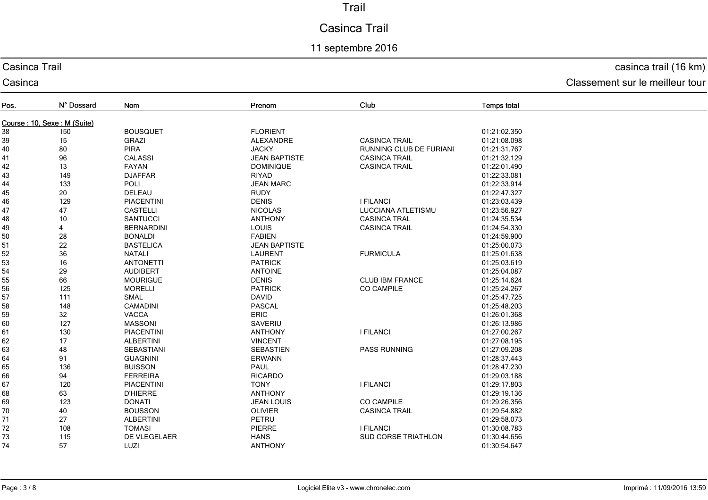# Casinca Trail

## 11 septembre 2016

#### Casinca Trail

Casinca

#### casinca trail (16 km)

| Pos. | N° Dossard                  | Nom               | Prenom               | Club                       | <b>Temps total</b> |  |  |  |
|------|-----------------------------|-------------------|----------------------|----------------------------|--------------------|--|--|--|
|      | Course: 10, Sexe: M (Suite) |                   |                      |                            |                    |  |  |  |
| 38   | 150                         | <b>BOUSQUET</b>   | <b>FLORIENT</b>      |                            | 01:21:02.350       |  |  |  |
| 39   | 15                          | <b>GRAZI</b>      | <b>ALEXANDRE</b>     | <b>CASINCA TRAIL</b>       | 01:21:08.098       |  |  |  |
| 40   | 80                          | <b>PIRA</b>       | <b>JACKY</b>         | RUNNING CLUB DE FURIANI    | 01:21:31.767       |  |  |  |
| 41   | 96                          | <b>CALASSI</b>    | <b>JEAN BAPTISTE</b> | <b>CASINCA TRAIL</b>       | 01:21:32.129       |  |  |  |
| 42   | 13                          | FAYAN             | <b>DOMINIQUE</b>     | <b>CASINCA TRAIL</b>       | 01:22:01.490       |  |  |  |
| 43   | 149                         | <b>DJAFFAR</b>    | <b>RIYAD</b>         |                            | 01:22:33.081       |  |  |  |
| 44   | 133                         | POLI              | <b>JEAN MARC</b>     |                            | 01:22:33.914       |  |  |  |
| 45   | 20                          | DELEAU            | <b>RUDY</b>          |                            | 01:22:47.327       |  |  |  |
| 46   | 129                         | <b>PIACENTINI</b> | <b>DENIS</b>         | <b>I FILANCI</b>           | 01:23:03.439       |  |  |  |
| 47   | 47                          | <b>CASTELLI</b>   | <b>NICOLAS</b>       | LUCCIANA ATLETISMU         | 01:23:56.927       |  |  |  |
| 48   | 10                          | <b>SANTUCCI</b>   | <b>ANTHONY</b>       | <b>CASINCA TRAL</b>        | 01:24:35.534       |  |  |  |
| 49   | 4                           | <b>BERNARDINI</b> | <b>LOUIS</b>         | <b>CASINCA TRAIL</b>       | 01:24:54.330       |  |  |  |
| 50   | 28                          | <b>BONALDI</b>    | <b>FABIEN</b>        |                            | 01:24:59.900       |  |  |  |
| 51   | 22                          | <b>BASTELICA</b>  | <b>JEAN BAPTISTE</b> |                            | 01:25:00.073       |  |  |  |
| 52   | 36                          | <b>NATALI</b>     | <b>LAURENT</b>       | <b>FURMICULA</b>           | 01:25:01.638       |  |  |  |
| 53   | 16                          | <b>ANTONETTI</b>  | <b>PATRICK</b>       |                            | 01:25:03.619       |  |  |  |
| 54   | 29                          | <b>AUDIBERT</b>   | <b>ANTOINE</b>       |                            | 01:25:04.087       |  |  |  |
| 55   | 66                          | <b>MOURIGUE</b>   | <b>DENIS</b>         | <b>CLUB IBM FRANCE</b>     | 01:25:14.624       |  |  |  |
| 56   | 125                         | <b>MORELLI</b>    | <b>PATRICK</b>       | <b>CO CAMPILE</b>          | 01:25:24.267       |  |  |  |
| 57   | 111                         | SMAL              | <b>DAVID</b>         |                            | 01:25:47.725       |  |  |  |
| 58   | 148                         | <b>CAMADINI</b>   | <b>PASCAL</b>        |                            | 01:25:48.203       |  |  |  |
| 59   | 32                          | <b>VACCA</b>      | <b>ERIC</b>          |                            | 01:26:01.368       |  |  |  |
| 60   | 127                         | <b>MASSONI</b>    | SAVERIU              |                            | 01:26:13.986       |  |  |  |
| 61   | 130                         | <b>PIACENTINI</b> | <b>ANTHONY</b>       | <b>I FILANCI</b>           | 01:27:00.267       |  |  |  |
| 62   | 17                          | <b>ALBERTINI</b>  | <b>VINCENT</b>       |                            | 01:27:08.195       |  |  |  |
| 63   | 48                          | <b>SEBASTIANI</b> | <b>SEBASTIEN</b>     | <b>PASS RUNNING</b>        | 01:27:09.208       |  |  |  |
| 64   | 91                          | <b>GUAGNINI</b>   | <b>ERWANN</b>        |                            | 01:28:37.443       |  |  |  |
| 65   | 136                         | <b>BUISSON</b>    | <b>PAUL</b>          |                            | 01:28:47.230       |  |  |  |
| 66   | 94                          | <b>FERREIRA</b>   | <b>RICARDO</b>       |                            | 01:29:03.188       |  |  |  |
| 67   | 120                         | <b>PIACENTINI</b> | <b>TONY</b>          | <b>I FILANCI</b>           | 01:29:17.803       |  |  |  |
| 68   | 63                          | <b>D'HIERRE</b>   | <b>ANTHONY</b>       |                            | 01:29:19.136       |  |  |  |
| 69   | 123                         | <b>DONATI</b>     | <b>JEAN LOUIS</b>    | <b>CO CAMPILE</b>          | 01:29:26.356       |  |  |  |
| 70   | 40                          | <b>BOUSSON</b>    | <b>OLIVIER</b>       | <b>CASINCA TRAIL</b>       | 01:29:54.882       |  |  |  |
| 71   | 27                          | <b>ALBERTINI</b>  | PETRU                |                            | 01:29:58.073       |  |  |  |
| 72   | 108                         | <b>TOMASI</b>     | <b>PIERRE</b>        | <b>I FILANCI</b>           | 01:30:08.783       |  |  |  |
| 73   | 115                         | DE VLEGELAER      | <b>HANS</b>          | <b>SUD CORSE TRIATHLON</b> | 01:30:44.656       |  |  |  |
| 74   | 57                          | LUZI              | <b>ANTHONY</b>       |                            | 01:30:54.647       |  |  |  |
|      |                             |                   |                      |                            |                    |  |  |  |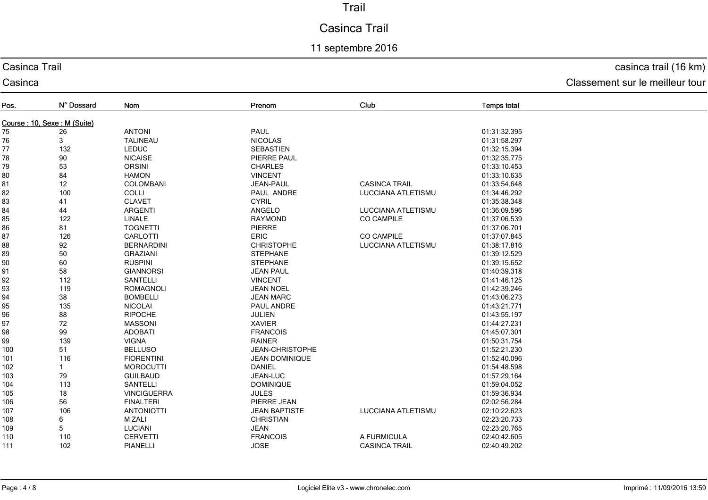# Casinca Trail

## 11 septembre 2016

#### Casinca Trail

Casinca

## casinca trail (16 km)

| Pos.                        | N° Dossard | Nom                | Prenom                 | Club                      | <b>Temps total</b> |
|-----------------------------|------------|--------------------|------------------------|---------------------------|--------------------|
| Course: 10, Sexe: M (Suite) |            |                    |                        |                           |                    |
| 75                          | 26         | <b>ANTONI</b>      | PAUL                   |                           | 01:31:32.395       |
| 76                          | 3          | <b>TALINEAU</b>    | <b>NICOLAS</b>         |                           | 01:31:58.297       |
| 77                          | 132        | <b>LEDUC</b>       | <b>SEBASTIEN</b>       |                           | 01:32:15.394       |
| 78                          | 90         | <b>NICAISE</b>     | PIERRE PAUL            |                           | 01:32:35.775       |
| 79                          | 53         | <b>ORSINI</b>      | <b>CHARLES</b>         |                           | 01:33:10.453       |
| 80                          | 84         | <b>HAMON</b>       | <b>VINCENT</b>         |                           | 01:33:10.635       |
| 81                          | 12         | <b>COLOMBANI</b>   | <b>JEAN-PAUL</b>       | <b>CASINCA TRAIL</b>      | 01:33:54.648       |
| 82                          | 100        | <b>COLLI</b>       | PAUL ANDRE             | LUCCIANA ATLETISMU        | 01:34:46.292       |
| 83                          | 41         | <b>CLAVET</b>      | <b>CYRIL</b>           |                           | 01:35:38.348       |
| 84                          | 44         | <b>ARGENTI</b>     | ANGELO                 | <b>LUCCIANA ATLETISMU</b> | 01:36:09.596       |
| 85                          | 122        | LINALE             | <b>RAYMOND</b>         | <b>CO CAMPILE</b>         | 01:37:06.539       |
| 86                          | 81         | <b>TOGNETTI</b>    | PIERRE                 |                           | 01:37:06.701       |
| 87                          | 126        | <b>CARLOTTI</b>    | <b>ERIC</b>            | <b>CO CAMPILE</b>         | 01:37:07.845       |
| 88                          | 92         | <b>BERNARDINI</b>  | <b>CHRISTOPHE</b>      | LUCCIANA ATLETISMU        | 01:38:17.816       |
| 89                          | 50         | <b>GRAZIANI</b>    | <b>STEPHANE</b>        |                           | 01:39:12.529       |
| 90                          | 60         | <b>RUSPINI</b>     | <b>STEPHANE</b>        |                           | 01:39:15.652       |
| 91                          | 58         | <b>GIANNORSI</b>   | <b>JEAN PAUL</b>       |                           | 01:40:39.318       |
| 92                          | 112        | <b>SANTELLI</b>    | <b>VINCENT</b>         |                           | 01:41:46.125       |
| 93                          | 119        | <b>ROMAGNOLI</b>   | <b>JEAN NOEL</b>       |                           | 01:42:39.246       |
| 94                          | 38         | <b>BOMBELLI</b>    | <b>JEAN MARC</b>       |                           | 01:43:06.273       |
| 95                          | 135        | <b>NICOLAI</b>     | PAUL ANDRE             |                           | 01:43:21.771       |
| 96                          | 88         | <b>RIPOCHE</b>     | <b>JULIEN</b>          |                           | 01:43:55.197       |
| 97                          | 72         | <b>MASSONI</b>     | <b>XAVIER</b>          |                           | 01:44:27.231       |
| 98                          | 99         | <b>ADOBATI</b>     | <b>FRANCOIS</b>        |                           | 01:45:07.301       |
| 99                          | 139        | <b>VIGNA</b>       | <b>RAINER</b>          |                           | 01:50:31.754       |
| 100                         | 51         | <b>BELLUSO</b>     | <b>JEAN-CHRISTOPHE</b> |                           | 01:52:21.230       |
| 101                         | 116        | <b>FIORENTINI</b>  | <b>JEAN DOMINIQUE</b>  |                           | 01:52:40.096       |
| 102                         |            | <b>MOROCUTTI</b>   | <b>DANIEL</b>          |                           | 01:54:48.598       |
| 103                         | 79         | <b>GUILBAUD</b>    | <b>JEAN-LUC</b>        |                           | 01:57:29.164       |
| 104                         | 113        | <b>SANTELLI</b>    | <b>DOMINIQUE</b>       |                           | 01:59:04.052       |
| 105                         | 18         | <b>VINCIGUERRA</b> | <b>JULES</b>           |                           | 01:59:36.934       |
| 106                         | 56         | <b>FINALTERI</b>   | PIERRE JEAN            |                           | 02:02:56.284       |
| 107                         | 106        | <b>ANTONIOTTI</b>  | <b>JEAN BAPTISTE</b>   | LUCCIANA ATLETISMU        | 02:10:22.623       |
| 108                         | 6          | <b>M ZALI</b>      | <b>CHRISTIAN</b>       |                           | 02:23:20.733       |
| 109                         | 5          | <b>LUCIANI</b>     | <b>JEAN</b>            |                           | 02:23:20.765       |
| 110                         | 110        | <b>CERVETTI</b>    | <b>FRANCOIS</b>        | A FURMICULA               | 02:40:42.605       |
| 111                         | 102        | <b>PIANELLI</b>    | <b>JOSE</b>            | <b>CASINCA TRAIL</b>      | 02:40:49.202       |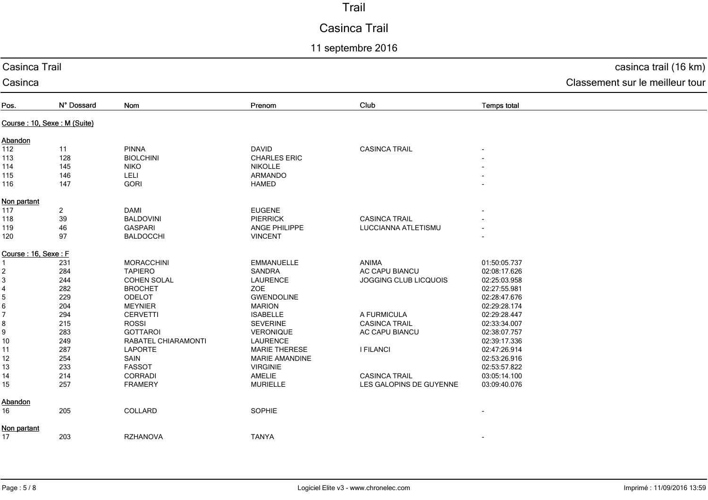# Casinca Trail

# 11 septembre 2016

| Casinca Trail               |                | casinca trail (16 km) |                       |                         |                    |                                 |
|-----------------------------|----------------|-----------------------|-----------------------|-------------------------|--------------------|---------------------------------|
| Casinca                     |                |                       |                       |                         |                    | Classement sur le meilleur tour |
| Pos.                        | N° Dossard     | Nom                   | Prenom                | Club                    | <b>Temps total</b> |                                 |
| Course: 10, Sexe: M (Suite) |                |                       |                       |                         |                    |                                 |
| Abandon                     |                |                       |                       |                         |                    |                                 |
| 112                         | 11             | <b>PINNA</b>          | <b>DAVID</b>          | <b>CASINCA TRAIL</b>    |                    |                                 |
| 113                         | 128            | <b>BIOLCHINI</b>      | <b>CHARLES ERIC</b>   |                         |                    |                                 |
| 114                         | 145            | <b>NIKO</b>           | <b>NIKOLLE</b>        |                         |                    |                                 |
| 115                         | 146            | LELI                  | ARMANDO               |                         |                    |                                 |
| 116                         | 147            | <b>GORI</b>           | <b>HAMED</b>          |                         |                    |                                 |
| Non partant                 |                |                       |                       |                         |                    |                                 |
| 117                         | $\overline{a}$ | <b>DAMI</b>           | <b>EUGENE</b>         |                         |                    |                                 |
| 118                         | 39             | <b>BALDOVINI</b>      | <b>PIERRICK</b>       | <b>CASINCA TRAIL</b>    |                    |                                 |
| 119                         | 46             | <b>GASPARI</b>        | ANGE PHILIPPE         | LUCCIANNA ATLETISMU     |                    |                                 |
| 120                         | 97             | <b>BALDOCCHI</b>      | <b>VINCENT</b>        |                         |                    |                                 |
| Course: 16, Sexe: F         |                |                       |                       |                         |                    |                                 |
|                             | 231            | <b>MORACCHINI</b>     | <b>EMMANUELLE</b>     | ANIMA                   | 01:50:05.737       |                                 |
| 2                           | 284            | <b>TAPIERO</b>        | <b>SANDRA</b>         | AC CAPU BIANCU          | 02:08:17.626       |                                 |
| 3                           | 244            | <b>COHEN SOLAL</b>    | <b>LAURENCE</b>       | JOGGING CLUB LICQUOIS   | 02:25:03.958       |                                 |
| 4                           | 282            | <b>BROCHET</b>        | ZOE                   |                         | 02:27:55.981       |                                 |
| 5                           | 229            | ODELOT                | <b>GWENDOLINE</b>     |                         | 02:28:47.676       |                                 |
| 6                           | 204            | <b>MEYNIER</b>        | <b>MARION</b>         |                         | 02:29:28.174       |                                 |
| 7                           | 294            | <b>CERVETTI</b>       | <b>ISABELLE</b>       | A FURMICULA             | 02:29:28.447       |                                 |
| 8                           | 215            | <b>ROSSI</b>          | <b>SEVERINE</b>       | <b>CASINCA TRAIL</b>    | 02:33:34.007       |                                 |
| 9                           | 283            | <b>GOTTAROI</b>       | VERONIQUE             | AC CAPU BIANCU          | 02:38:07.757       |                                 |
| 10                          | 249            | RABATEL CHIARAMONTI   | <b>LAURENCE</b>       |                         | 02:39:17.336       |                                 |
| 11                          | 287            | <b>LAPORTE</b>        | <b>MARIE THERESE</b>  | <b>I FILANCI</b>        | 02:47:26.914       |                                 |
| 12                          | 254            | SAIN                  | <b>MARIE AMANDINE</b> |                         | 02:53:26.916       |                                 |
| 13                          | 233            | <b>FASSOT</b>         | <b>VIRGINIE</b>       |                         | 02:53:57.822       |                                 |
| 14                          | 214            | <b>CORRADI</b>        | <b>AMELIE</b>         | <b>CASINCA TRAIL</b>    | 03:05:14.100       |                                 |
| 15                          | 257            | <b>FRAMERY</b>        | <b>MURIELLE</b>       | LES GALOPINS DE GUYENNE | 03:09:40.076       |                                 |
| Abandon                     |                |                       |                       |                         |                    |                                 |
| 16                          | 205            | COLLARD               | SOPHIE                |                         |                    |                                 |
| Non partant                 |                |                       |                       |                         |                    |                                 |
| 17                          | 203            | <b>RZHANOVA</b>       | <b>TANYA</b>          |                         |                    |                                 |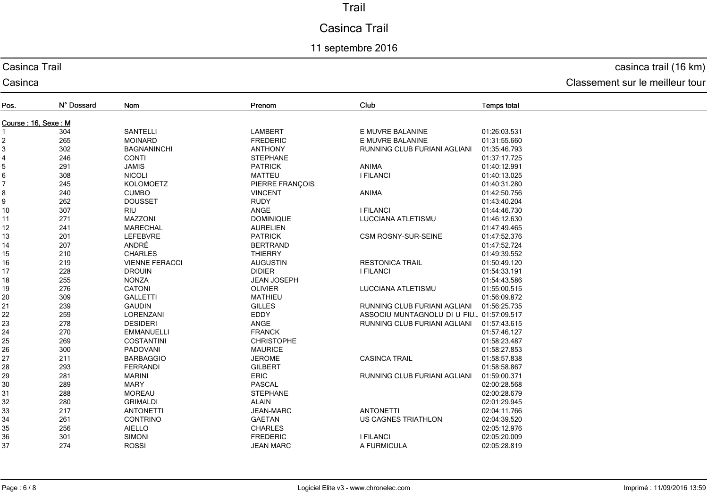# Casinca Trail

## 11 septembre 2016

#### Casinca Trail

Casinca

#### casinca trail (16 km)

| Pos.                | N° Dossard | Nom                   | Prenom             | Club                                     | <b>Temps total</b> |
|---------------------|------------|-----------------------|--------------------|------------------------------------------|--------------------|
| Course: 16, Sexe: M |            |                       |                    |                                          |                    |
|                     | 304        | <b>SANTELLI</b>       | <b>LAMBERT</b>     | E MUVRE BALANINE                         | 01:26:03.531       |
| $\overline{2}$      | 265        | <b>MOINARD</b>        | <b>FREDERIC</b>    | E MUVRE BALANINE                         | 01:31:55.660       |
| 3                   | 302        | <b>BAGNANINCHI</b>    | <b>ANTHONY</b>     | RUNNING CLUB FURIANI AGLIANI             | 01:35:46.793       |
| 4                   | 246        | <b>CONTI</b>          | <b>STEPHANE</b>    |                                          | 01:37:17.725       |
| 5                   | 291        | <b>JAMIS</b>          | <b>PATRICK</b>     | ANIMA                                    | 01:40:12.991       |
| 6                   | 308        | <b>NICOLI</b>         | <b>MATTEU</b>      | <b>I FILANCI</b>                         | 01:40:13.025       |
|                     | 245        | <b>KOLOMOETZ</b>      | PIERRE FRANÇOIS    |                                          | 01:40:31.280       |
| 8                   | 240        | <b>CUMBO</b>          | <b>VINCENT</b>     | <b>ANIMA</b>                             | 01:42:50.756       |
| $\boldsymbol{9}$    | 262        | <b>DOUSSET</b>        | <b>RUDY</b>        |                                          | 01:43:40.204       |
| 10                  | 307        | <b>RIU</b>            | ANGE               | <b>I FILANCI</b>                         | 01:44:46.730       |
| 11                  | 271        | <b>MAZZONI</b>        | <b>DOMINIQUE</b>   | LUCCIANA ATLETISMU                       | 01:46:12.630       |
| 12                  | 241        | <b>MARECHAL</b>       | <b>AURELIEN</b>    |                                          | 01:47:49.465       |
| 13                  | 201        | <b>LEFEBVRE</b>       | <b>PATRICK</b>     | <b>CSM ROSNY-SUR-SEINE</b>               | 01:47:52.376       |
| 14                  | 207        | ANDRÉ                 | <b>BERTRAND</b>    |                                          | 01:47:52.724       |
| 15                  | 210        | <b>CHARLES</b>        | <b>THIERRY</b>     |                                          | 01:49:39.552       |
| 16                  | 219        | <b>VIENNE FERACCI</b> | <b>AUGUSTIN</b>    | <b>RESTONICA TRAIL</b>                   | 01:50:49.120       |
| 17                  | 228        | <b>DROUIN</b>         | <b>DIDIER</b>      | <b>I FILANCI</b>                         | 01:54:33.191       |
| 18                  | 255        | <b>NONZA</b>          | <b>JEAN JOSEPH</b> |                                          | 01:54:43.586       |
| 19                  | 276        | <b>CATONI</b>         | <b>OLIVIER</b>     | LUCCIANA ATLETISMU                       | 01:55:00.515       |
| 20                  | 309        | <b>GALLETTI</b>       | <b>MATHIEU</b>     |                                          | 01:56:09.872       |
| 21                  | 239        | <b>GAUDIN</b>         | <b>GILLES</b>      | RUNNING CLUB FURIANI AGLIANI             | 01:56:25.735       |
| 22                  | 259        | LORENZANI             | EDDY               | ASSOCIU MUNTAGNOLU DI U FIU 01:57:09.517 |                    |
| 23                  | 278        | <b>DESIDERI</b>       | ANGE               | RUNNING CLUB FURIANI AGLIANI             | 01:57:43.615       |
| 24                  | 270        | <b>EMMANUELLI</b>     | <b>FRANCK</b>      |                                          | 01:57:46.127       |
| 25                  | 269        | <b>COSTANTINI</b>     | <b>CHRISTOPHE</b>  |                                          | 01:58:23.487       |
| 26                  | 300        | PADOVANI              | <b>MAURICE</b>     |                                          | 01:58:27.853       |
| 27                  | 211        | <b>BARBAGGIO</b>      | <b>JEROME</b>      | <b>CASINCA TRAIL</b>                     | 01:58:57.838       |
| 28                  | 293        | <b>FERRANDI</b>       | <b>GILBERT</b>     |                                          | 01:58:58.867       |
| 29                  | 281        | <b>MARINI</b>         | ERIC               | RUNNING CLUB FURIANI AGLIANI             | 01:59:00.371       |
| 30                  | 289        | <b>MARY</b>           | <b>PASCAL</b>      |                                          | 02:00:28.568       |
| 31                  | 288        | <b>MOREAU</b>         | <b>STEPHANE</b>    |                                          | 02:00:28.679       |
| 32                  | 280        | <b>GRIMALDI</b>       | <b>ALAIN</b>       |                                          | 02:01:29.945       |
| 33                  | 217        | <b>ANTONETTI</b>      | <b>JEAN-MARC</b>   | <b>ANTONETTI</b>                         | 02:04:11.766       |
| 34                  | 261        | <b>CONTRINO</b>       | <b>GAETAN</b>      | US CAGNES TRIATHLON                      | 02:04:39.520       |
| 35                  | 256        | <b>AIELLO</b>         | <b>CHARLES</b>     |                                          | 02:05:12.976       |
| 36                  | 301        | <b>SIMONI</b>         | <b>FREDERIC</b>    | <b>I FILANCI</b>                         | 02:05:20.009       |
| 37                  | 274        | <b>ROSSI</b>          | <b>JEAN MARC</b>   | A FURMICULA                              | 02:05:28.819       |
|                     |            |                       |                    |                                          |                    |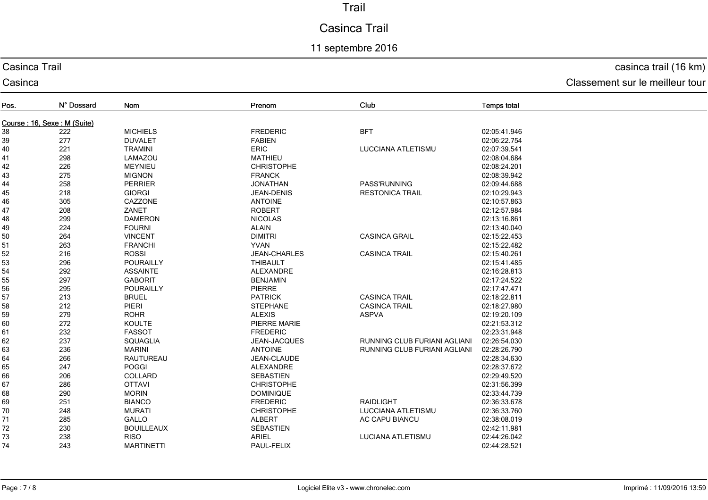# Casinca Trail

## 11 septembre 2016

#### Casinca Trail

Casinca

## casinca trail (16 km)

| Pos.                        | N° Dossard | Nom               | Prenom              | Club                         | <b>Temps total</b> |  |  |
|-----------------------------|------------|-------------------|---------------------|------------------------------|--------------------|--|--|
| Course: 16, Sexe: M (Suite) |            |                   |                     |                              |                    |  |  |
| 38                          | 222        | <b>MICHIELS</b>   | <b>FREDERIC</b>     | <b>BFT</b>                   | 02:05:41.946       |  |  |
| 39                          | 277        | <b>DUVALET</b>    | <b>FABIEN</b>       |                              | 02:06:22.754       |  |  |
| 40                          | 221        | <b>TRAMINI</b>    | <b>ERIC</b>         | LUCCIANA ATLETISMU           | 02:07:39.541       |  |  |
| 41                          | 298        | LAMAZOU           | <b>MATHIEU</b>      |                              | 02:08:04.684       |  |  |
| 42                          | 226        | <b>MEYNIEU</b>    | <b>CHRISTOPHE</b>   |                              | 02:08:24.201       |  |  |
| 43                          | 275        | <b>MIGNON</b>     | <b>FRANCK</b>       |                              | 02:08:39.942       |  |  |
| 44                          | 258        | PERRIER           | <b>JONATHAN</b>     | PASS'RUNNING                 | 02:09:44.688       |  |  |
| 45                          | 218        | <b>GIORGI</b>     | JEAN-DENIS          | <b>RESTONICA TRAIL</b>       | 02:10:29.943       |  |  |
| 46                          | 305        | CAZZONE           | <b>ANTOINE</b>      |                              | 02:10:57.863       |  |  |
| 47                          | 208        | ZANET             | <b>ROBERT</b>       |                              | 02:12:57.984       |  |  |
| 48                          | 299        | <b>DAMERON</b>    | <b>NICOLAS</b>      |                              | 02:13:16.861       |  |  |
| 49                          | 224        | <b>FOURNI</b>     | <b>ALAIN</b>        |                              | 02:13:40.040       |  |  |
| 50                          | 264        | <b>VINCENT</b>    | <b>DIMITRI</b>      | <b>CASINCA GRAIL</b>         | 02:15:22.453       |  |  |
| 51                          | 263        | <b>FRANCHI</b>    | <b>YVAN</b>         |                              | 02:15:22.482       |  |  |
| 52                          | 216        | <b>ROSSI</b>      | <b>JEAN-CHARLES</b> | <b>CASINCA TRAIL</b>         | 02:15:40.261       |  |  |
| 53                          | 296        | POURAILLY         | <b>THIBAULT</b>     |                              | 02:15:41.485       |  |  |
| 54                          | 292        | <b>ASSAINTE</b>   | ALEXANDRE           |                              | 02:16:28.813       |  |  |
| 55                          | 297        | <b>GABORIT</b>    | <b>BENJAMIN</b>     |                              | 02:17:24.522       |  |  |
| 56                          | 295        | POURAILLY         | PIERRE              |                              | 02:17:47.471       |  |  |
| 57                          | 213        | <b>BRUEL</b>      | <b>PATRICK</b>      | <b>CASINCA TRAIL</b>         | 02:18:22.811       |  |  |
| 58                          | 212        | PIERI             | <b>STEPHANE</b>     | <b>CASINCA TRAIL</b>         | 02:18:27.980       |  |  |
| 59                          | 279        | <b>ROHR</b>       | <b>ALEXIS</b>       | <b>ASPVA</b>                 | 02:19:20.109       |  |  |
| 60                          | 272        | <b>KOULTE</b>     | PIERRE MARIE        |                              | 02:21:53.312       |  |  |
| 61                          | 232        | <b>FASSOT</b>     | <b>FREDERIC</b>     |                              | 02:23:31.948       |  |  |
| 62                          | 237        | <b>SQUAGLIA</b>   | JEAN-JACQUES        | RUNNING CLUB FURIANI AGLIANI | 02:26:54.030       |  |  |
| 63                          | 236        | <b>MARINI</b>     | <b>ANTOINE</b>      | RUNNING CLUB FURIANI AGLIANI | 02:28:26.790       |  |  |
| 64                          | 266        | RAUTUREAU         | JEAN-CLAUDE         |                              | 02:28:34.630       |  |  |
| 65                          | 247        | <b>POGGI</b>      | <b>ALEXANDRE</b>    |                              | 02:28:37.672       |  |  |
| 66                          | 206        | COLLARD           | <b>SEBASTIEN</b>    |                              | 02:29:49.520       |  |  |
| 67                          | 286        | <b>OTTAVI</b>     | <b>CHRISTOPHE</b>   |                              | 02:31:56.399       |  |  |
| 68                          | 290        | <b>MORIN</b>      | <b>DOMINIQUE</b>    |                              | 02:33:44.739       |  |  |
| 69                          | 251        | <b>BIANCO</b>     | <b>FREDERIC</b>     | <b>RAIDLIGHT</b>             | 02:36:33.678       |  |  |
| 70                          | 248        | <b>MURATI</b>     | <b>CHRISTOPHE</b>   | LUCCIANA ATLETISMU           | 02:36:33.760       |  |  |
| 71                          | 285        | GALLO             | <b>ALBERT</b>       | <b>AC CAPU BIANCU</b>        | 02:38:08.019       |  |  |
| 72                          | 230        | <b>BOUILLEAUX</b> | SÉBASTIEN           |                              | 02:42:11.981       |  |  |
| 73                          | 238        | <b>RISO</b>       | <b>ARIEL</b>        | <b>LUCIANA ATLETISMU</b>     | 02:44:26.042       |  |  |
| 74                          | 243        | <b>MARTINETTI</b> | PAUL-FELIX          |                              | 02:44:28.521       |  |  |